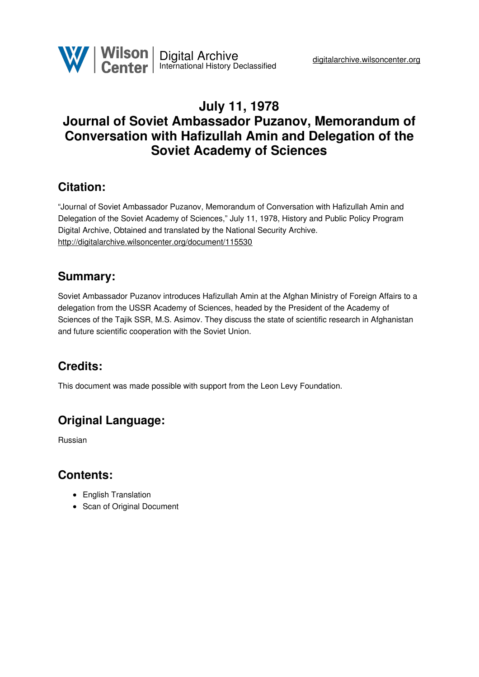

## **July 11, 1978 Journal of Soviet Ambassador Puzanov, Memorandum of Conversation with Hafizullah Amin and Delegation of the Soviet Academy of Sciences**

## **Citation:**

"Journal of Soviet Ambassador Puzanov, Memorandum of Conversation with Hafizullah Amin and Delegation of the Soviet Academy of Sciences," July 11, 1978, History and Public Policy Program Digital Archive, Obtained and translated by the National Security Archive. <http://digitalarchive.wilsoncenter.org/document/115530>

## **Summary:**

Soviet Ambassador Puzanov introduces Hafizullah Amin at the Afghan Ministry of Foreign Affairs to a delegation from the USSR Academy of Sciences, headed by the President of the Academy of Sciences of the Tajik SSR, M.S. Asimov. They discuss the state of scientific research in Afghanistan and future scientific cooperation with the Soviet Union.

# **Credits:**

This document was made possible with support from the Leon Levy Foundation.

# **Original Language:**

Russian

## **Contents:**

- English Translation
- Scan of Original Document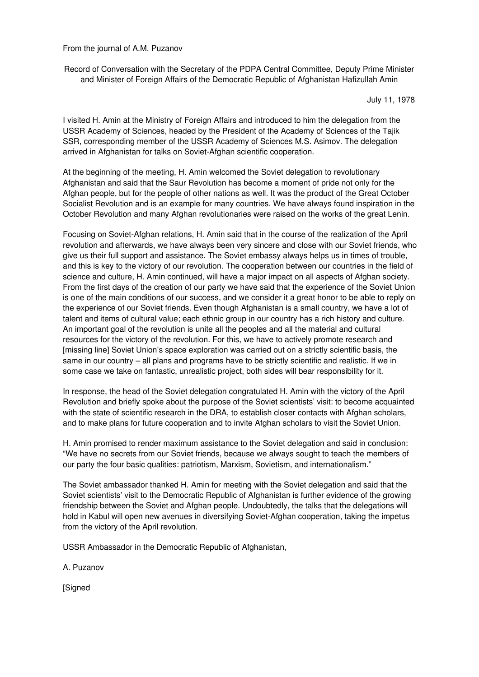From the journal of A.M. Puzanov

Record of Conversation with the Secretary of the PDPA Central Committee, Deputy Prime Minister and Minister of Foreign Affairs of the Democratic Republic of Afghanistan Hafizullah Amin

July 11, 1978

I visited H. Amin at the Ministry of Foreign Affairs and introduced to him the delegation from the USSR Academy of Sciences, headed by the President of the Academy of Sciences of the Tajik SSR, corresponding member of the USSR Academy of Sciences M.S. Asimov. The delegation arrived in Afghanistan for talks on Soviet-Afghan scientific cooperation.

At the beginning of the meeting, H. Amin welcomed the Soviet delegation to revolutionary Afghanistan and said that the Saur Revolution has become a moment of pride not only for the Afghan people, but for the people of other nations as well. It was the product of the Great October Socialist Revolution and is an example for many countries. We have always found inspiration in the October Revolution and many Afghan revolutionaries were raised on the works of the great Lenin.

Focusing on Soviet-Afghan relations, H. Amin said that in the course of the realization of the April revolution and afterwards, we have always been very sincere and close with our Soviet friends, who give us their full support and assistance. The Soviet embassy always helps us in times of trouble, and this is key to the victory of our revolution. The cooperation between our countries in the field of science and culture, H. Amin continued, will have a major impact on all aspects of Afghan society. From the first days of the creation of our party we have said that the experience of the Soviet Union is one of the main conditions of our success, and we consider it a great honor to be able to reply on the experience of our Soviet friends. Even though Afghanistan is a small country, we have a lot of talent and items of cultural value; each ethnic group in our country has a rich history and culture. An important goal of the revolution is unite all the peoples and all the material and cultural resources for the victory of the revolution. For this, we have to actively promote research and [missing line] Soviet Union's space exploration was carried out on a strictly scientific basis, the same in our country – all plans and programs have to be strictly scientific and realistic. If we in some case we take on fantastic, unrealistic project, both sides will bear responsibility for it.

In response, the head of the Soviet delegation congratulated H. Amin with the victory of the April Revolution and briefly spoke about the purpose of the Soviet scientists' visit: to become acquainted with the state of scientific research in the DRA, to establish closer contacts with Afghan scholars, and to make plans for future cooperation and to invite Afghan scholars to visit the Soviet Union.

H. Amin promised to render maximum assistance to the Soviet delegation and said in conclusion: "We have no secrets from our Soviet friends, because we always sought to teach the members of our party the four basic qualities: patriotism, Marxism, Sovietism, and internationalism."

The Soviet ambassador thanked H. Amin for meeting with the Soviet delegation and said that the Soviet scientists' visit to the Democratic Republic of Afghanistan is further evidence of the growing friendship between the Soviet and Afghan people. Undoubtedly, the talks that the delegations will hold in Kabul will open new avenues in diversifying Soviet-Afghan cooperation, taking the impetus from the victory of the April revolution.

USSR Ambassador in the Democratic Republic of Afghanistan,

A. Puzanov

**[Signed**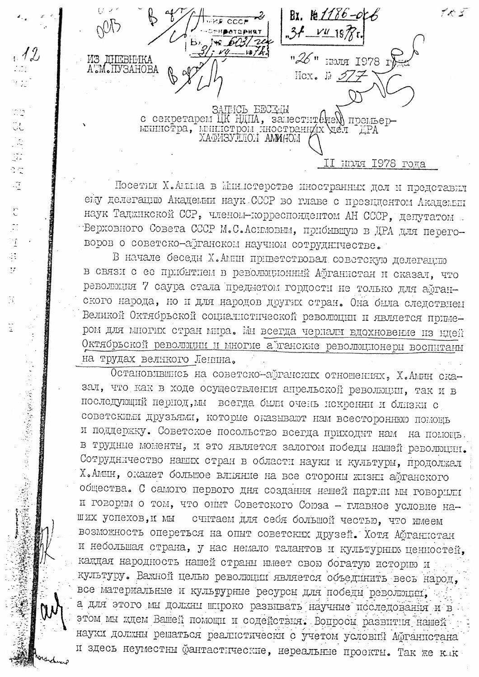Bx.  $1286 - 066$  $.31 - 197$ "26" HUCH 1978 I **ИЗ ЛНЕВНИКА** M. ILVBAHOBA Hox.  $E \mathscr{D}/\mathscr{F}$ ЗАПИСЬ БЕСТИМ<br>с секретарем ЦК НИИА, заместителем премьер-<br>министра, министром иностраниих дел ДРА<br>ХАФИЗУЛЛОМ АМИНОМ ( RECT 8791 RICHT II

CD. UL. 

سيا جا<br>په

 $\frac{1}{\sqrt{2}}$ 

 $\overset{\leftrightarrow}{\mathbb{C}}$ 

 $\frac{1}{\sqrt{2}}$ 

 $\frac{1}{2}$ 

91  $\bar{z}\bar{z}$ 

 $\frac{1}{2}$ 

 $\frac{1}{4}$ 

大学生の (1992) 大学の (1993年の) (1994) 1994

Посетил Х.Анниа в Министерстве иностранных дел и представил ему делегацию Академии наук СССР во главе с президентом Академии наук Таджикской ССР, членом-корреспондентом АН СССР, депутатом -Верховного Совета СССР М.С. Асимовым, прибывшую в ДРА для переговоров о советско-аўганском научном сотруднічестве.

В начале беседы Х.Амин приветствовал советскую делегацию в связи с ее прибытием в революционный Афганистан и сказал, что революция 7 саура стала предметом гордости не только для афганского народа, но и для народов других стран. Она была следствием Великой Октябрьской социалистической революции и является примером для многих стран мира. Мы всегда чернали вдохновение из ндей Октябрьской революции и многие а танские революционеры воспитаны на трудах великого Ленина.

Остановлвшись на советско-аўганских отношениях, Х.Амин сказал, что как в ходе осуществления апрельской революции, так и в последующий пернод, мы всегда были очень искренни и близки с советскими друзьями, которые оказывают нам всесторонною помощь и поддержку. Советское посольство всегда приходит нам на помощь. в трудные моменты, и это является залогом победы нашей революции. Сотрудничество наших стран в области науки и культуры, продолжал Х. Амин, окажет большое влияние на все стороны жизны афганского общества. С самого первого дня создания нашей партии мы говорили и говорим о том, что опыт Советского Союза - главное условие наших успехов, и мы считаем для себя большой честью, что имеем возможность опереться на опыт советских друзей. Хотя Афганистан и небольшая страна, у нас немало талантов и культурных ценностей, каждая народность нашей страны имеет свою богатую историю и культуру. Важной целью революции является объединить весь народ, все материальные и кульрурные ресурсы для победы революции, а для этого мы должны широко развивать научные последования и в этом мы ждем Вашей помощи и содействия. Вопросы развития нашей науки должны решаться реалистически с учетом условий Афганистана и здесь неуместны фантастические, нереальные проскты. Так же клк